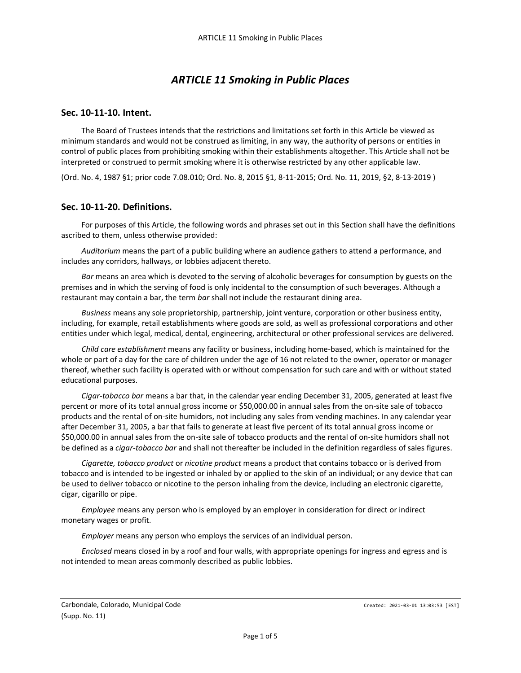# *ARTICLE 11 Smoking in Public Places*

## **Sec. 10-11-10. Intent.**

The Board of Trustees intends that the restrictions and limitations set forth in this Article be viewed as minimum standards and would not be construed as limiting, in any way, the authority of persons or entities in control of public places from prohibiting smoking within their establishments altogether. This Article shall not be interpreted or construed to permit smoking where it is otherwise restricted by any other applicable law.

(Ord. No. 4, 1987 §1; prior code 7.08.010; Ord. No. 8, 2015 §1, 8-11-2015; Ord. No. 11, 2019, §2, 8-13-2019 )

#### **Sec. 10-11-20. Definitions.**

For purposes of this Article, the following words and phrases set out in this Section shall have the definitions ascribed to them, unless otherwise provided:

*Auditorium* means the part of a public building where an audience gathers to attend a performance, and includes any corridors, hallways, or lobbies adjacent thereto.

*Bar* means an area which is devoted to the serving of alcoholic beverages for consumption by guests on the premises and in which the serving of food is only incidental to the consumption of such beverages. Although a restaurant may contain a bar, the term *bar* shall not include the restaurant dining area.

*Business* means any sole proprietorship, partnership, joint venture, corporation or other business entity, including, for example, retail establishments where goods are sold, as well as professional corporations and other entities under which legal, medical, dental, engineering, architectural or other professional services are delivered.

*Child care establishment* means any facility or business, including home-based, which is maintained for the whole or part of a day for the care of children under the age of 16 not related to the owner, operator or manager thereof, whether such facility is operated with or without compensation for such care and with or without stated educational purposes.

*Cigar-tobacco bar* means a bar that, in the calendar year ending December 31, 2005, generated at least five percent or more of its total annual gross income or \$50,000.00 in annual sales from the on-site sale of tobacco products and the rental of on-site humidors, not including any sales from vending machines. In any calendar year after December 31, 2005, a bar that fails to generate at least five percent of its total annual gross income or \$50,000.00 in annual sales from the on-site sale of tobacco products and the rental of on-site humidors shall not be defined as a *cigar-tobacco bar* and shall not thereafter be included in the definition regardless of sales figures.

*Cigarette, tobacco product* or *nicotine product* means a product that contains tobacco or is derived from tobacco and is intended to be ingested or inhaled by or applied to the skin of an individual; or any device that can be used to deliver tobacco or nicotine to the person inhaling from the device, including an electronic cigarette, cigar, cigarillo or pipe.

*Employee* means any person who is employed by an employer in consideration for direct or indirect monetary wages or profit.

*Employer* means any person who employs the services of an individual person.

*Enclosed* means closed in by a roof and four walls, with appropriate openings for ingress and egress and is not intended to mean areas commonly described as public lobbies.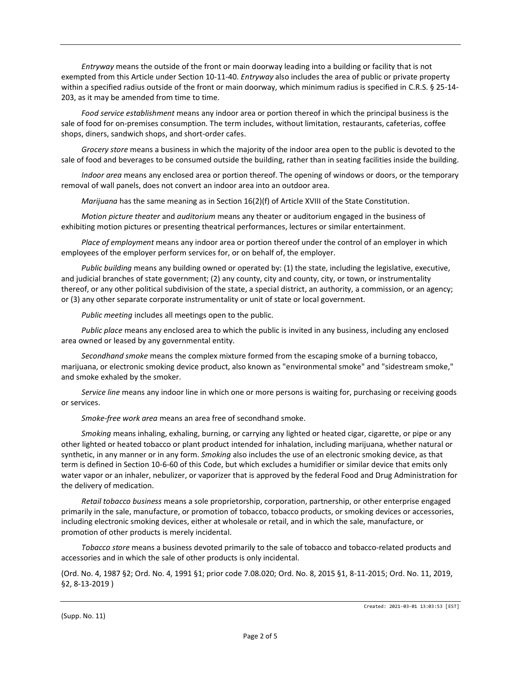*Entryway* means the outside of the front or main doorway leading into a building or facility that is not exempted from this Article under Section 10-11-40. *Entryway* also includes the area of public or private property within a specified radius outside of the front or main doorway, which minimum radius is specified in C.R.S. § 25-14- 203, as it may be amended from time to time.

*Food service establishment* means any indoor area or portion thereof in which the principal business is the sale of food for on-premises consumption. The term includes, without limitation, restaurants, cafeterias, coffee shops, diners, sandwich shops, and short-order cafes.

*Grocery store* means a business in which the majority of the indoor area open to the public is devoted to the sale of food and beverages to be consumed outside the building, rather than in seating facilities inside the building.

*Indoor area* means any enclosed area or portion thereof. The opening of windows or doors, or the temporary removal of wall panels, does not convert an indoor area into an outdoor area.

*Marijuana* has the same meaning as in Section 16(2)(f) of Article XVIII of the State Constitution.

*Motion picture theater* and *auditorium* means any theater or auditorium engaged in the business of exhibiting motion pictures or presenting theatrical performances, lectures or similar entertainment.

*Place of employment* means any indoor area or portion thereof under the control of an employer in which employees of the employer perform services for, or on behalf of, the employer.

*Public building* means any building owned or operated by: (1) the state, including the legislative, executive, and judicial branches of state government; (2) any county, city and county, city, or town, or instrumentality thereof, or any other political subdivision of the state, a special district, an authority, a commission, or an agency; or (3) any other separate corporate instrumentality or unit of state or local government.

*Public meeting* includes all meetings open to the public.

*Public place* means any enclosed area to which the public is invited in any business, including any enclosed area owned or leased by any governmental entity.

*Secondhand smoke* means the complex mixture formed from the escaping smoke of a burning tobacco, marijuana, or electronic smoking device product, also known as "environmental smoke" and "sidestream smoke," and smoke exhaled by the smoker.

*Service line* means any indoor line in which one or more persons is waiting for, purchasing or receiving goods or services.

*Smoke-free work area* means an area free of secondhand smoke.

*Smoking* means inhaling, exhaling, burning, or carrying any lighted or heated cigar, cigarette, or pipe or any other lighted or heated tobacco or plant product intended for inhalation, including marijuana, whether natural or synthetic, in any manner or in any form. *Smoking* also includes the use of an electronic smoking device, as that term is defined in Section 10-6-60 of this Code, but which excludes a humidifier or similar device that emits only water vapor or an inhaler, nebulizer, or vaporizer that is approved by the federal Food and Drug Administration for the delivery of medication.

*Retail tobacco business* means a sole proprietorship, corporation, partnership, or other enterprise engaged primarily in the sale, manufacture, or promotion of tobacco, tobacco products, or smoking devices or accessories, including electronic smoking devices, either at wholesale or retail, and in which the sale, manufacture, or promotion of other products is merely incidental.

*Tobacco store* means a business devoted primarily to the sale of tobacco and tobacco-related products and accessories and in which the sale of other products is only incidental.

(Ord. No. 4, 1987 §2; Ord. No. 4, 1991 §1; prior code 7.08.020; Ord. No. 8, 2015 §1, 8-11-2015; Ord. No. 11, 2019, §2, 8-13-2019 )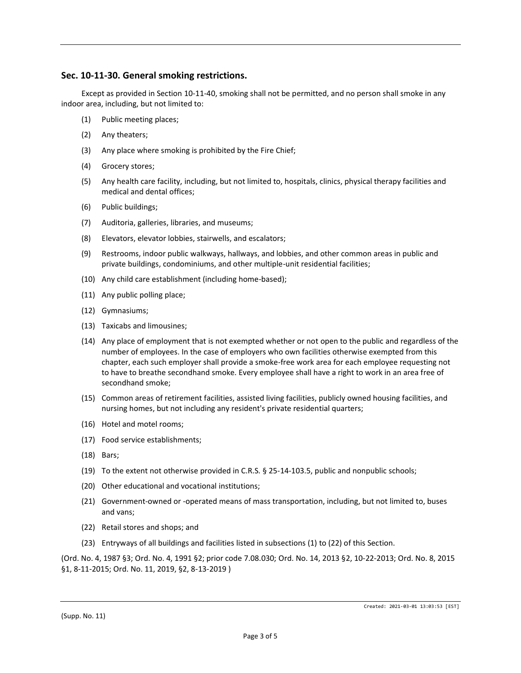## **Sec. 10-11-30. General smoking restrictions.**

Except as provided in Section 10-11-40, smoking shall not be permitted, and no person shall smoke in any indoor area, including, but not limited to:

- (1) Public meeting places;
- (2) Any theaters;
- (3) Any place where smoking is prohibited by the Fire Chief;
- (4) Grocery stores;
- (5) Any health care facility, including, but not limited to, hospitals, clinics, physical therapy facilities and medical and dental offices;
- (6) Public buildings;
- (7) Auditoria, galleries, libraries, and museums;
- (8) Elevators, elevator lobbies, stairwells, and escalators;
- (9) Restrooms, indoor public walkways, hallways, and lobbies, and other common areas in public and private buildings, condominiums, and other multiple-unit residential facilities;
- (10) Any child care establishment (including home-based);
- (11) Any public polling place;
- (12) Gymnasiums;
- (13) Taxicabs and limousines;
- (14) Any place of employment that is not exempted whether or not open to the public and regardless of the number of employees. In the case of employers who own facilities otherwise exempted from this chapter, each such employer shall provide a smoke-free work area for each employee requesting not to have to breathe secondhand smoke. Every employee shall have a right to work in an area free of secondhand smoke;
- (15) Common areas of retirement facilities, assisted living facilities, publicly owned housing facilities, and nursing homes, but not including any resident's private residential quarters;
- (16) Hotel and motel rooms;
- (17) Food service establishments;
- (18) Bars;
- (19) To the extent not otherwise provided in C.R.S. § 25-14-103.5, public and nonpublic schools;
- (20) Other educational and vocational institutions;
- (21) Government-owned or -operated means of mass transportation, including, but not limited to, buses and vans;
- (22) Retail stores and shops; and
- (23) Entryways of all buildings and facilities listed in subsections (1) to (22) of this Section.

(Ord. No. 4, 1987 §3; Ord. No. 4, 1991 §2; prior code 7.08.030; Ord. No. 14, 2013 §2, 10-22-2013; Ord. No. 8, 2015 §1, 8-11-2015; Ord. No. 11, 2019, §2, 8-13-2019 )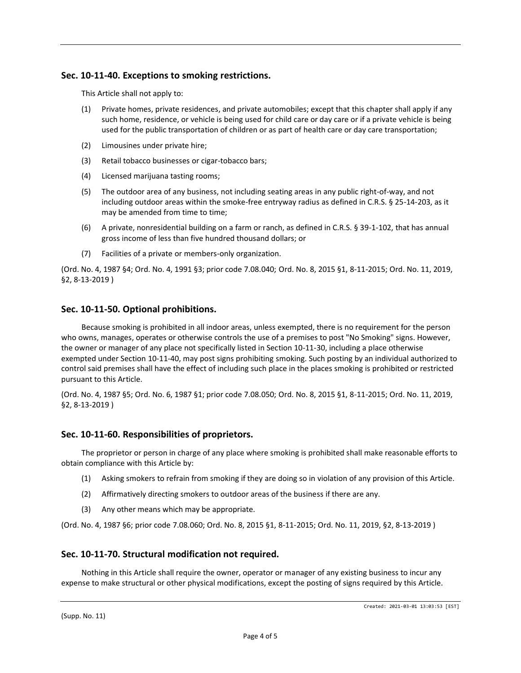# **Sec. 10-11-40. Exceptions to smoking restrictions.**

This Article shall not apply to:

- (1) Private homes, private residences, and private automobiles; except that this chapter shall apply if any such home, residence, or vehicle is being used for child care or day care or if a private vehicle is being used for the public transportation of children or as part of health care or day care transportation;
- (2) Limousines under private hire;
- (3) Retail tobacco businesses or cigar-tobacco bars;
- (4) Licensed marijuana tasting rooms;
- (5) The outdoor area of any business, not including seating areas in any public right-of-way, and not including outdoor areas within the smoke-free entryway radius as defined in C.R.S. § 25-14-203, as it may be amended from time to time;
- (6) A private, nonresidential building on a farm or ranch, as defined in C.R.S. § 39-1-102, that has annual gross income of less than five hundred thousand dollars; or
- (7) Facilities of a private or members-only organization.

(Ord. No. 4, 1987 §4; Ord. No. 4, 1991 §3; prior code 7.08.040; Ord. No. 8, 2015 §1, 8-11-2015; Ord. No. 11, 2019, §2, 8-13-2019 )

# **Sec. 10-11-50. Optional prohibitions.**

Because smoking is prohibited in all indoor areas, unless exempted, there is no requirement for the person who owns, manages, operates or otherwise controls the use of a premises to post "No Smoking" signs. However, the owner or manager of any place not specifically listed in Section 10-11-30, including a place otherwise exempted under Section 10-11-40, may post signs prohibiting smoking. Such posting by an individual authorized to control said premises shall have the effect of including such place in the places smoking is prohibited or restricted pursuant to this Article.

(Ord. No. 4, 1987 §5; Ord. No. 6, 1987 §1; prior code 7.08.050; Ord. No. 8, 2015 §1, 8-11-2015; Ord. No. 11, 2019, §2, 8-13-2019 )

## **Sec. 10-11-60. Responsibilities of proprietors.**

The proprietor or person in charge of any place where smoking is prohibited shall make reasonable efforts to obtain compliance with this Article by:

- (1) Asking smokers to refrain from smoking if they are doing so in violation of any provision of this Article.
- (2) Affirmatively directing smokers to outdoor areas of the business if there are any.
- (3) Any other means which may be appropriate.

(Ord. No. 4, 1987 §6; prior code 7.08.060; Ord. No. 8, 2015 §1, 8-11-2015; Ord. No. 11, 2019, §2, 8-13-2019 )

## **Sec. 10-11-70. Structural modification not required.**

Nothing in this Article shall require the owner, operator or manager of any existing business to incur any expense to make structural or other physical modifications, except the posting of signs required by this Article.